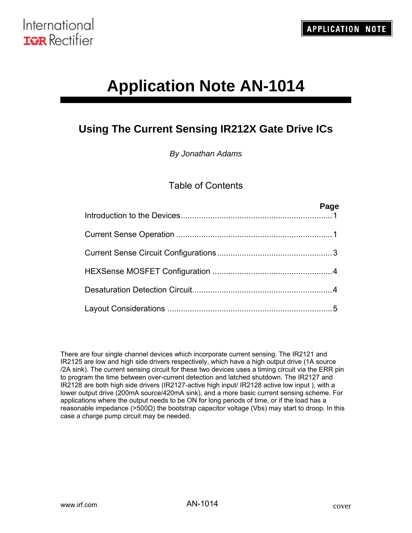# **Application Note AN-1014**

# **Using The Current Sensing IR212X Gate Drive ICs**

*By Jonathan Adams* 

# Table of Contents

| Page |
|------|
|      |
|      |
|      |
|      |
|      |

There are four single channel devices which incorporate current sensing. The IR2121 and IR2125 are low and high side drivers respectively, which have a high output drive (1A source /2A sink). The current sensing circuit for these two devices uses a timing circuit via the ERR pin to program the time between over-current detection and latched shutdown. The IR2127 and IR2128 are both high side drivers (IR2127-active high input/ IR2128 active low input ), with a lower output drive (200mA source/420mA sink), and a more basic current sensing scheme. For applications where the output needs to be ON for long periods of time, or if the load has a reasonable impedance (>500Ω) the bootstrap capacitor voltage (Vbs) may start to droop. In this case a charge pump circuit may be needed.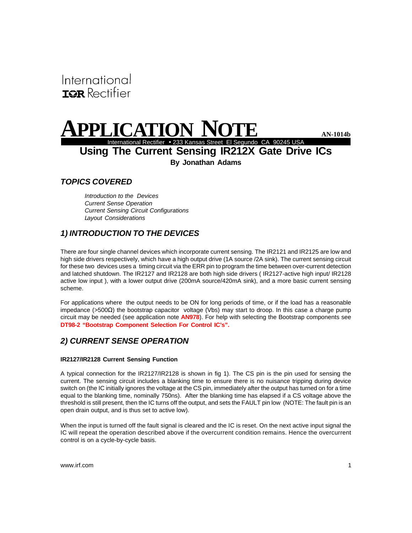<span id="page-1-0"></span>International **IGR** Rectifier

# **A PPLICATION NOTE**<br>International Rectifier • 233 Kansas Street El Segundo CA 90245 USA

**Using The Current Sensing IR212X Gate Drive ICs By Jonathan Adams**

## *TOPICS COVERED*

*Introduction to the Devices Current Sense Operation Current Sensing Circuit Configurations Layout Considerations*

# *1) INTRODUCTION TO THE DEVICES*

There are four single channel devices which incorporate current sensing. The IR2121 and IR2125 are low and high side drivers respectively, which have a high output drive (1A source /2A sink). The current sensing circuit for these two devices uses a timing circuit via the ERR pin to program the time between over-current detection and latched shutdown. The IR2127 and IR2128 are both high side drivers ( IR2127-active high input/ IR2128 active low input ), with a lower output drive (200mA source/420mA sink), and a more basic current sensing scheme.

For applications where the output needs to be ON for long periods of time, or if the load has a reasonable impedance (>500Ω) the bootstrap capacitor voltage (Vbs) may start to droop. In this case a charge pump circuit may be needed (see application note **AN978**). For help with selecting the Bootstrap components see **DT98-2 "Bootstrap Component Selection For Control IC's".**

## *2) CURRENT SENSE OPERATION*

#### **IR2127/IR2128 Current Sensing Function**

A typical connection for the IR2127/IR2128 is shown in fig 1). The CS pin is the pin used for sensing the current. The sensing circuit includes a blanking time to ensure there is no nuisance tripping during device switch on (the IC initially ignores the voltage at the CS pin, immediately after the output has turned on for a time equal to the blanking time, nominally 750ns). After the blanking time has elapsed if a CS voltage above the threshold is still present, then the IC turns off the output, and sets the FAULT pin low (NOTE: The fault pin is an open drain output, and is thus set to active low).

When the input is turned off the fault signal is cleared and the IC is reset. On the next active input signal the IC will repeat the operation described above if the overcurrent condition remains. Hence the overcurrent control is on a cycle-by-cycle basis.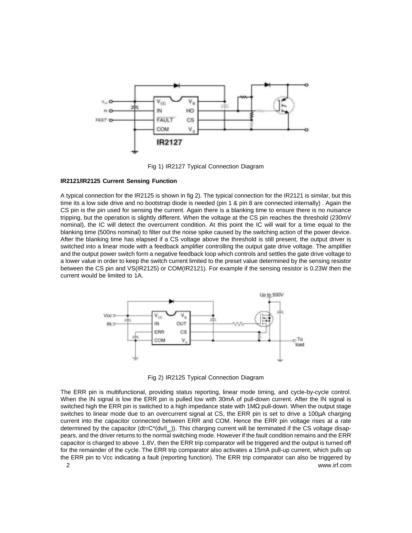

Fig 1) IR2127 Typical Connection Diagram

#### **IR2121/IR2125 Current Sensing Function**

A typical connection for the IR2125 is shown in fig 2). The typical connection for the IR2121 is similar, but this time its a low side drive and no bootstrap diode is needed (pin 1 & pin 8 are connected internally) . Again the CS pin is the pin used for sensing the current. Again there is a blanking time to ensure there is no nuisance tripping, but the operation is slightly different. When the voltage at the CS pin reaches the threshold (230mV nominal), the IC will detect the overcurrent condition. At this point the IC will wait for a time equal to the blanking time (500ns nominal) to filter out the noise spike caused by the switching action of the power device. After the blanking time has elapsed if a CS voltage above the threshold is still present, the output driver is switched into a linear mode with a feedback amplifier controlling the output gate drive voltage. The amplifier and the output power switch form a negative feedback loop which controls and settles the gate drive voltage to a lower value in order to keep the switch current limited to the preset value determined by the sensing resistor between the CS pin and VS(IR2125) or COM(IR2121). For example if the sensing resistor is 0.23W then the current would be limited to 1A.



Fig 2) IR2125 Typical Connection Diagram

2 www.irf.com The ERR pin is multifunctional, providing status reporting, linear mode timing, and cycle-by-cycle control. When the IN signal is low the ERR pin is pulled low with 30mA of pull-down current. After the IN signal is switched high the ERR pin is switched to a high impedance state with 1MΩ pull-down. When the output stage switches to linear mode due to an overcurrent signal at CS, the ERR pin is set to drive a 100µA charging current into the capacitor connected between ERR and COM. Hence the ERR pin voltage rises at a rate determined by the capacitor (dt= $C^*(dv/|_{ev})$ ). This charging current will be terminated if the CS voltage disappears, and the driver returns to the normal switching mode. However if the fault condition remains and the ERR capacitor is charged to above 1.8V, then the ERR trip comparator will be triggered and the output is turned off for the remainder of the cycle. The ERR trip comparator also activates a 15mA pull-up current, which pulls up the ERR pin to Vcc indicating a fault (reporting function). The ERR trip comparator can also be triggered by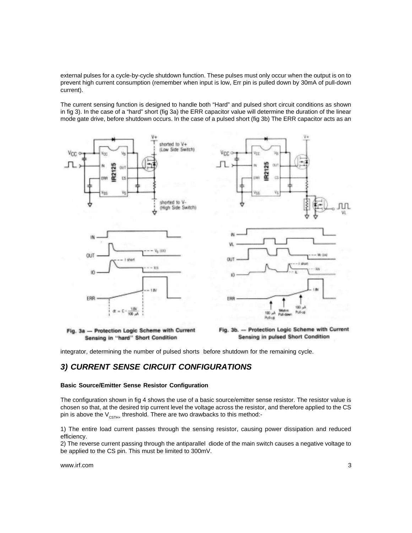<span id="page-3-0"></span>external pulses for a cycle-by-cycle shutdown function. These pulses must only occur when the output is on to prevent high current consumption (remember when input is low, Err pin is pulled down by 30mA of pull-down current).

The current sensing function is designed to handle both "Hard" and pulsed short circuit conditions as shown in fig 3). In the case of a "hard" short (fig 3a) the ERR capacitor value will determine the duration of the linear mode gate drive, before shutdown occurs. In the case of a pulsed short (fig 3b) The ERR capacitor acts as an



Sensing in "hard" Short Condition

Fig. 3b. - Protection Logic Scheme with Current Sensing in pulsed Short Condition

integrator, determining the number of pulsed shorts before shutdown for the remaining cycle.

### *3) CURRENT SENSE CIRCUIT CONFIGURATIONS*

#### **Basic Source/Emitter Sense Resistor Configuration**

The configuration shown in fig 4 shows the use of a basic source/emitter sense resistor. The resistor value is chosen so that, at the desired trip current level the voltage across the resistor, and therefore applied to the CS pin is above the  $V_{\text{CSTH+}}$  threshold. There are two drawbacks to this method:-

1) The entire load current passes through the sensing resistor, causing power dissipation and reduced efficiency.

2) The reverse current passing through the antiparallel diode of the main switch causes a negative voltage to be applied to the CS pin. This must be limited to 300mV.

www.irf.com 3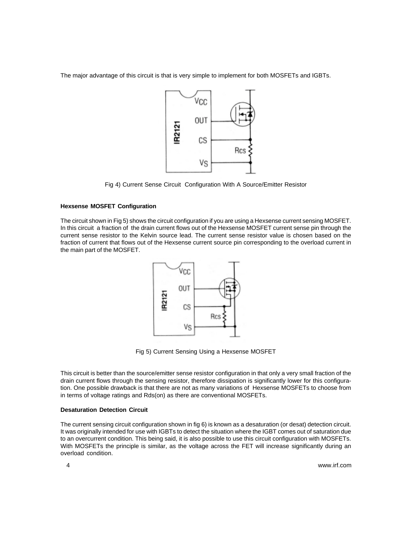<span id="page-4-0"></span>The major advantage of this circuit is that is very simple to implement for both MOSFETs and IGBTs.



Fig 4) Current Sense Circuit Configuration With A Source/Emitter Resistor

#### **Hexsense MOSFET Configuration**

The circuit shown in Fig 5) shows the circuit configuration if you are using a Hexsense current sensing MOSFET. In this circuit a fraction of the drain current flows out of the Hexsense MOSFET current sense pin through the current sense resistor to the Kelvin source lead. The current sense resistor value is chosen based on the fraction of current that flows out of the Hexsense current source pin corresponding to the overload current in the main part of the MOSFET.



Fig 5) Current Sensing Using a Hexsense MOSFET

This circuit is better than the source/emitter sense resistor configuration in that only a very small fraction of the drain current flows through the sensing resistor, therefore dissipation is significantly lower for this configuration. One possible drawback is that there are not as many variations of Hexsense MOSFETs to choose from in terms of voltage ratings and Rds(on) as there are conventional MOSFETs.

#### **Desaturation Detection Circuit**

The current sensing circuit configuration shown in fig 6) is known as a desaturation (or desat) detection circuit. It was originally intended for use with IGBTs to detect the situation where the IGBT comes out of saturation due to an overcurrent condition. This being said, it is also possible to use this circuit configuration with MOSFETs. With MOSFETs the principle is similar, as the voltage across the FET will increase significantly during an overload condition.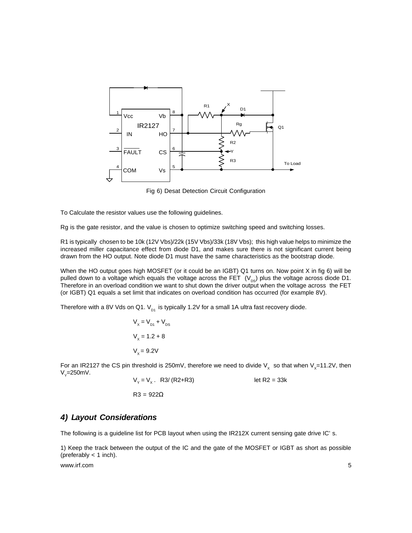<span id="page-5-0"></span>

Fig 6) Desat Detection Circuit Configuration

To Calculate the resistor values use the following guidelines.

Rg is the gate resistor, and the value is chosen to optimize switching speed and switching losses.

R1 is typically chosen to be 10k (12V Vbs)/22k (15V Vbs)/33k (18V Vbs); this high value helps to minimize the increased miller capacitance effect from diode D1, and makes sure there is not significant current being drawn from the HO output. Note diode D1 must have the same characteristics as the bootstrap diode.

When the HO output goes high MOSFET (or it could be an IGBT) Q1 turns on. Now point X in fig 6) will be pulled down to a voltage which equals the voltage across the FET  $(V_{p,s})$  plus the voltage across diode D1. Therefore in an overload condition we want to shut down the driver output when the voltage across the FET (or IGBT) Q1 equals a set limit that indicates on overload condition has occurred (for example 8V).

Therefore with a 8V Vds on Q1.  $V_{\text{p1}}$  is typically 1.2V for a small 1A ultra fast recovery diode.

$$
V_x = V_{D1} + V_{DS}
$$
  

$$
V_x = 1.2 + 8
$$
  

$$
V_x = 9.2V
$$

For an IR2127 the CS pin threshold is 250mV, therefore we need to divide V<sub>x</sub> so that when V<sub>x</sub>=11.2V, then  $V_y = 250$ mV.

 $V_y = V_x$ . R3/ (R2+R3) let R2 = 33k  $R3 = 922\Omega$ 

#### *4) Layout Considerations*

The following is a guideline list for PCB layout when using the IR212X current sensing gate drive IC's.

1) Keep the track between the output of the IC and the gate of the MOSFET or IGBT as short as possible (preferably  $<$  1 inch).

www.irf.com 5